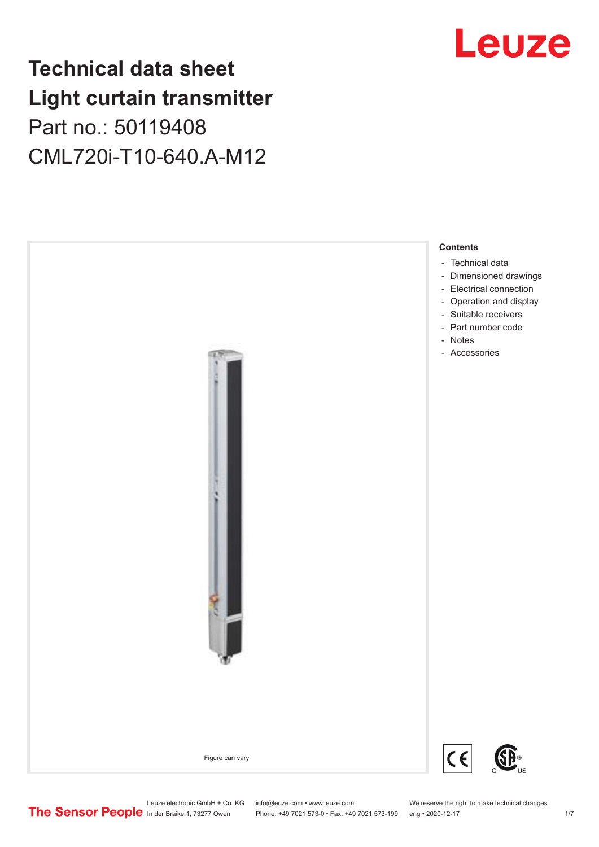## **Technical data sheet Light curtain transmitter** Part no.: 50119408 CML720i-T10-640.A-M12



## Leuze

Leuze electronic GmbH + Co. KG info@leuze.com • www.leuze.com We reserve the right to make technical changes<br>
The Sensor People in der Braike 1, 73277 Owen Phone: +49 7021 573-0 • Fax: +49 7021 573-199 eng • 2020-12-17

Phone: +49 7021 573-0 • Fax: +49 7021 573-199 eng • 2020-12-17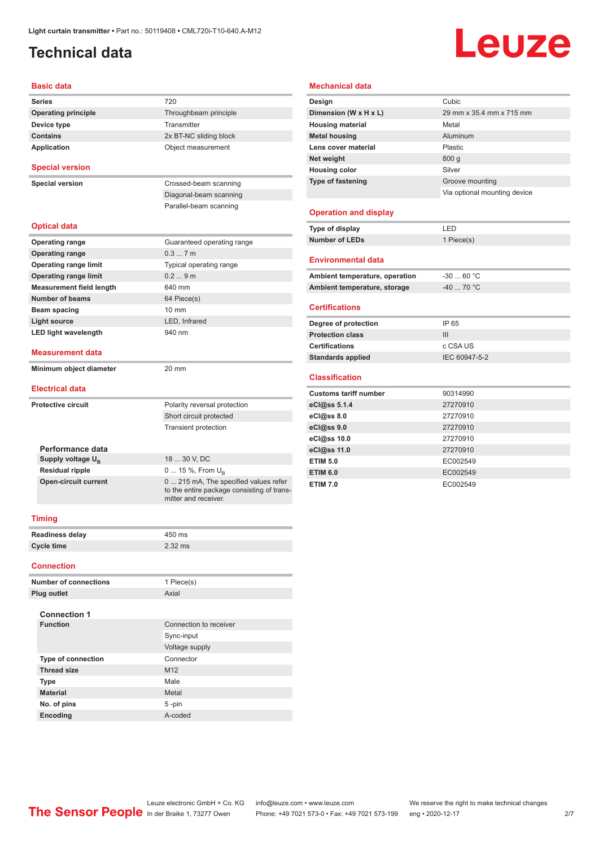## <span id="page-1-0"></span>**Technical data**

# Leuze

#### **Basic data**

| <b>Series</b>                   | 720                                                                                                         |
|---------------------------------|-------------------------------------------------------------------------------------------------------------|
| <b>Operating principle</b>      | Throughbeam principle                                                                                       |
| Device type                     | Transmitter                                                                                                 |
| <b>Contains</b>                 | 2x BT-NC sliding block                                                                                      |
| <b>Application</b>              | Object measurement                                                                                          |
| <b>Special version</b>          |                                                                                                             |
| <b>Special version</b>          | Crossed-beam scanning                                                                                       |
|                                 | Diagonal-beam scanning                                                                                      |
|                                 | Parallel-beam scanning                                                                                      |
| <b>Optical data</b>             |                                                                                                             |
| <b>Operating range</b>          | Guaranteed operating range                                                                                  |
| <b>Operating range</b>          | 0.37m                                                                                                       |
| <b>Operating range limit</b>    | Typical operating range                                                                                     |
| <b>Operating range limit</b>    | 0.29m                                                                                                       |
| <b>Measurement field length</b> | 640 mm                                                                                                      |
| <b>Number of beams</b>          | 64 Piece(s)                                                                                                 |
| Beam spacing                    | $10 \text{ mm}$                                                                                             |
| Light source                    | LED. Infrared                                                                                               |
| <b>LED light wavelength</b>     | 940 nm                                                                                                      |
| Measurement data                |                                                                                                             |
| Minimum object diameter         | 20 mm                                                                                                       |
| <b>Electrical data</b>          |                                                                                                             |
| <b>Protective circuit</b>       | Polarity reversal protection                                                                                |
|                                 | Short circuit protected                                                                                     |
|                                 | <b>Transient protection</b>                                                                                 |
|                                 |                                                                                                             |
| Performance data                |                                                                                                             |
| Supply voltage $U_{B}$          | 18  30 V. DC                                                                                                |
| <b>Residual ripple</b>          | 0  15 %, From U <sub>p</sub>                                                                                |
| <b>Open-circuit current</b>     | 0  215 mA, The specified values refer<br>to the entire package consisting of trans-<br>mitter and receiver. |
|                                 |                                                                                                             |

#### **Mechanical data**

| Design                         | Cubic                        |
|--------------------------------|------------------------------|
| Dimension (W x H x L)          | 29 mm x 35.4 mm x 715 mm     |
| <b>Housing material</b>        | Metal                        |
| <b>Metal housing</b>           | Aluminum                     |
| Lens cover material            | Plastic                      |
| Net weight                     | 800 <sub>g</sub>             |
| <b>Housing color</b>           | Silver                       |
| <b>Type of fastening</b>       | Groove mounting              |
|                                | Via optional mounting device |
|                                |                              |
| <b>Operation and display</b>   |                              |
| Type of display                | LED                          |
| <b>Number of LEDs</b>          | 1 Piece(s)                   |
|                                |                              |
| <b>Environmental data</b>      |                              |
| Ambient temperature, operation | $-30$ 60 °C                  |
| Ambient temperature, storage   | $-40$ 70 °C                  |

#### **Certifications**

| IP 65         |
|---------------|
| Ш             |
| c CSA US      |
| IEC 60947-5-2 |
|               |

#### **Classification**

| <b>Customs tariff number</b> | 90314990 |
|------------------------------|----------|
| eCl@ss 5.1.4                 | 27270910 |
| eCl@ss 8.0                   | 27270910 |
| eCl@ss 9.0                   | 27270910 |
| eCl@ss 10.0                  | 27270910 |
| eCl@ss 11.0                  | 27270910 |
| <b>ETIM 5.0</b>              | EC002549 |
| <b>ETIM 6.0</b>              | EC002549 |
| <b>ETIM 7.0</b>              | EC002549 |

#### **Timing**

| <b>Readiness delay</b> | 450 ms    |
|------------------------|-----------|
| Cycle time             | $2.32$ ms |

#### **Connection**

| <b>Number of connections</b> | 1 Piece(s)             |
|------------------------------|------------------------|
| <b>Plug outlet</b>           | Axial                  |
| <b>Connection 1</b>          |                        |
| <b>Function</b>              | Connection to receiver |
|                              | Sync-input             |
|                              | Voltage supply         |
| <b>Type of connection</b>    | Connector              |
| <b>Thread size</b>           | M <sub>12</sub>        |
| <b>Type</b>                  | Male                   |
| <b>Material</b>              | Metal                  |
| No. of pins                  | $5 - pin$              |
| Encoding                     | A-coded                |
|                              |                        |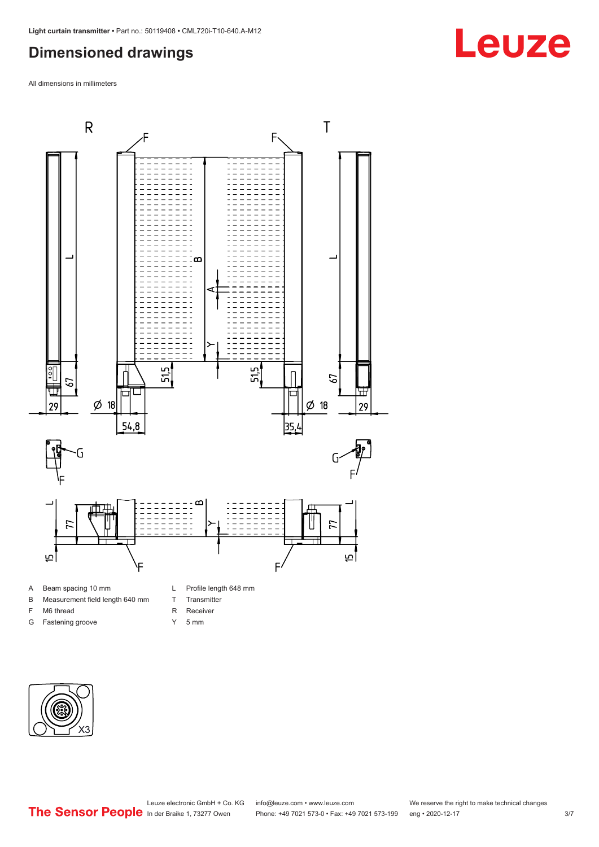### <span id="page-2-0"></span>**Dimensioned drawings**

All dimensions in millimeters



B Measurement field length 640 mm

F M6 thread G Fastening groove

- T Transmitter
	-
	- R Receiver
	- Y 5 mm



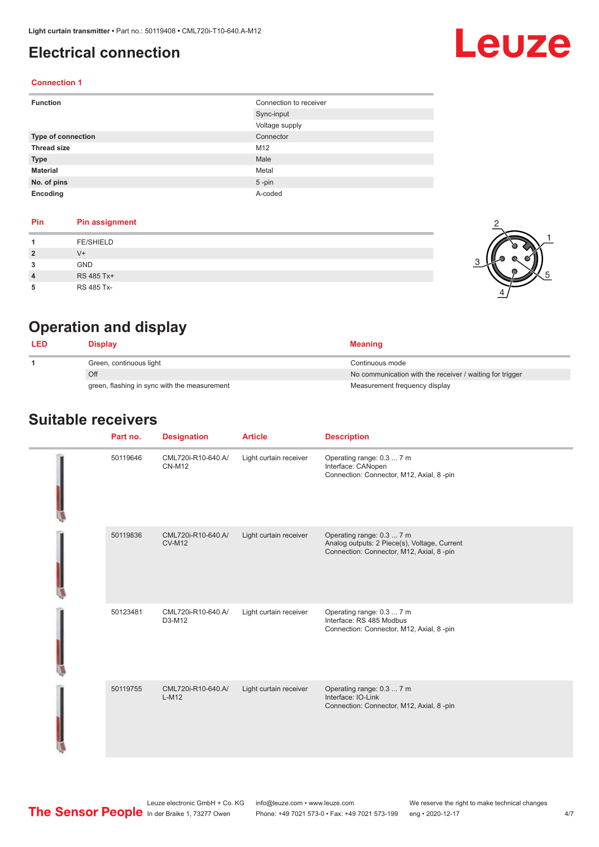#### <span id="page-3-0"></span>**Electrical connection**

## Leuze

#### **Connection 1**

| <b>Function</b>           | Connection to receiver |
|---------------------------|------------------------|
|                           | Sync-input             |
|                           | Voltage supply         |
| <b>Type of connection</b> | Connector              |
| <b>Thread size</b>        | M12                    |
| <b>Type</b>               | Male                   |
| <b>Material</b>           | Metal                  |
| No. of pins               | $5 - pin$              |
| Encoding                  | A-coded                |

#### **Pin Pin assignment**

|                | <b>FE/SHIELD</b> |  |  |
|----------------|------------------|--|--|
| $\overline{2}$ | V+               |  |  |
| 3              | <b>GND</b>       |  |  |
| $\overline{4}$ | RS 485 Tx+       |  |  |
| 5              | RS 485 Tx-       |  |  |



2

## **Operation and display**

| <b>LED</b> | <b>Display</b>                               | <b>Meaning</b>                                           |
|------------|----------------------------------------------|----------------------------------------------------------|
|            | Green, continuous light                      | Continuous mode                                          |
|            | Off                                          | No communication with the receiver / waiting for trigger |
|            | green, flashing in sync with the measurement | Measurement frequency display                            |

#### **Suitable receivers**

| Part no. | <b>Designation</b>                  | <b>Article</b>         | <b>Description</b>                                                                                                    |
|----------|-------------------------------------|------------------------|-----------------------------------------------------------------------------------------------------------------------|
| 50119646 | CML720i-R10-640.A/<br><b>CN-M12</b> | Light curtain receiver | Operating range: 0.3  7 m<br>Interface: CANopen<br>Connection: Connector, M12, Axial, 8 -pin                          |
| 50119836 | CML720i-R10-640.A/<br><b>CV-M12</b> | Light curtain receiver | Operating range: 0.3  7 m<br>Analog outputs: 2 Piece(s), Voltage, Current<br>Connection: Connector, M12, Axial, 8-pin |
| 50123481 | CML720i-R10-640.A/<br>D3-M12        | Light curtain receiver | Operating range: 0.3  7 m<br>Interface: RS 485 Modbus<br>Connection: Connector, M12, Axial, 8 -pin                    |
| 50119755 | CML720i-R10-640.A/<br>$L-M12$       | Light curtain receiver | Operating range: 0.3  7 m<br>Interface: IO-Link<br>Connection: Connector, M12, Axial, 8 -pin                          |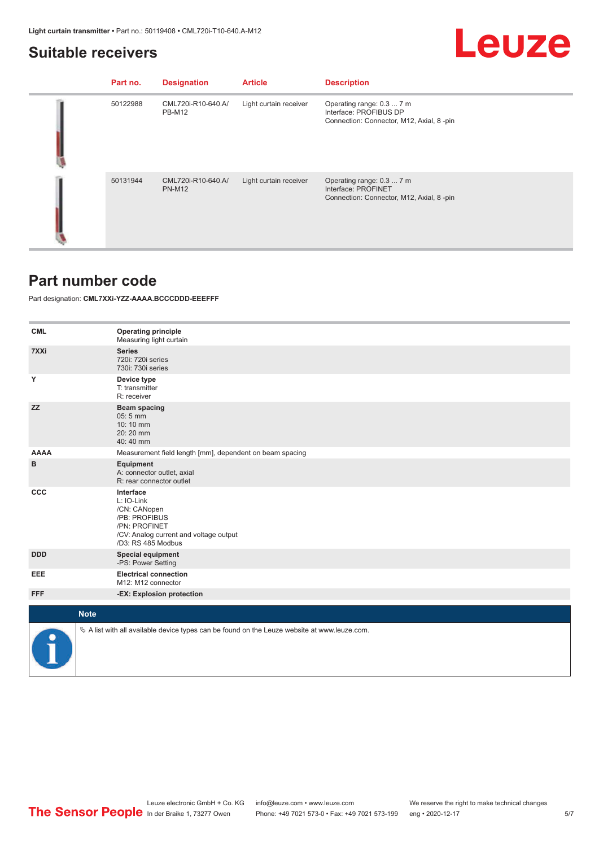## Leuze

#### <span id="page-4-0"></span>**Suitable receivers**

| Part no. | <b>Designation</b>                  | <b>Article</b>         | <b>Description</b>                                                                              |
|----------|-------------------------------------|------------------------|-------------------------------------------------------------------------------------------------|
| 50122988 | CML720i-R10-640.A/<br><b>PB-M12</b> | Light curtain receiver | Operating range: 0.3  7 m<br>Interface: PROFIBUS DP<br>Connection: Connector, M12, Axial, 8-pin |
| 50131944 | CML720i-R10-640.A/<br><b>PN-M12</b> | Light curtain receiver | Operating range: 0.3  7 m<br>Interface: PROFINET<br>Connection: Connector, M12, Axial, 8-pin    |

### **Part number code**

Part designation: **CML7XXi-YZZ-AAAA.BCCCDDD-EEEFFF**

| <b>CML</b>  | <b>Operating principle</b><br>Measuring light curtain                                                                                     |
|-------------|-------------------------------------------------------------------------------------------------------------------------------------------|
| 7XXi        | <b>Series</b><br>720i: 720i series<br>730i: 730i series                                                                                   |
| Y           | Device type<br>T: transmitter<br>R: receiver                                                                                              |
| <b>ZZ</b>   | <b>Beam spacing</b><br>05:5 mm<br>10:10 mm<br>20:20 mm<br>40:40 mm                                                                        |
| <b>AAAA</b> | Measurement field length [mm], dependent on beam spacing                                                                                  |
| B           | Equipment<br>A: connector outlet, axial<br>R: rear connector outlet                                                                       |
| CCC         | Interface<br>L: IO-Link<br>/CN: CANopen<br>/PB: PROFIBUS<br>/PN: PROFINET<br>/CV: Analog current and voltage output<br>/D3: RS 485 Modbus |
| <b>DDD</b>  | <b>Special equipment</b><br>-PS: Power Setting                                                                                            |
| EEE         | <b>Electrical connection</b><br>M12: M12 connector                                                                                        |
| <b>FFF</b>  | -EX: Explosion protection                                                                                                                 |
|             |                                                                                                                                           |
| <b>Note</b> |                                                                                                                                           |
|             | $\&$ A list with all available device types can be found on the Leuze website at www.leuze.com.                                           |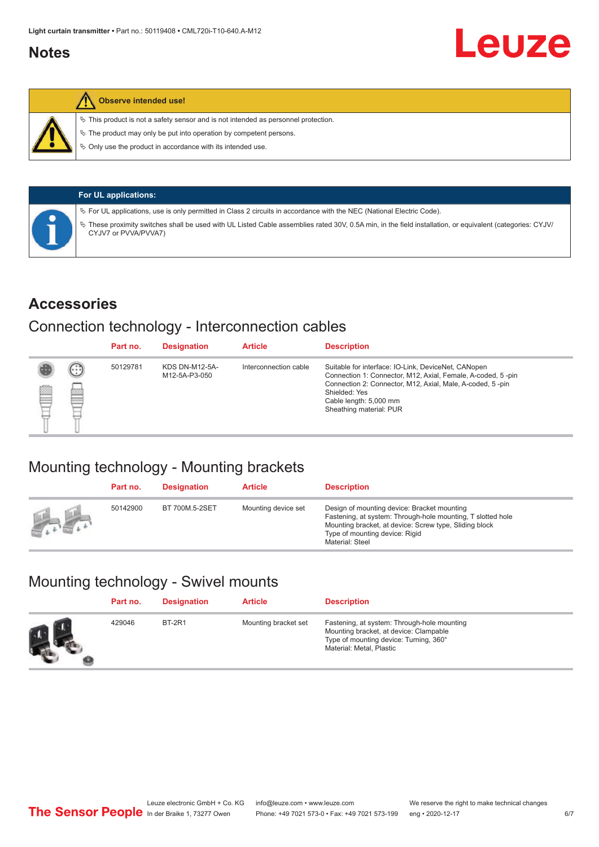### <span id="page-5-0"></span>**Notes**



#### **Observe intended use!**

 $\%$  This product is not a safety sensor and is not intended as personnel protection.

 $\%$  The product may only be put into operation by competent persons.

 $\%$  Only use the product in accordance with its intended use.

|  | <b>For UL applications:</b>                                                                                                                                                     |
|--|---------------------------------------------------------------------------------------------------------------------------------------------------------------------------------|
|  | $\%$ For UL applications, use is only permitted in Class 2 circuits in accordance with the NEC (National Electric Code).                                                        |
|  | These proximity switches shall be used with UL Listed Cable assemblies rated 30V, 0.5A min, in the field installation, or equivalent (categories: CYJV/<br>CYJV7 or PVVA/PVVA7) |

#### **Accessories**

#### Connection technology - Interconnection cables

|   |        | Part no. | <b>Designation</b>                     | <b>Article</b>        | <b>Description</b>                                                                                                                                                                                                                                    |
|---|--------|----------|----------------------------------------|-----------------------|-------------------------------------------------------------------------------------------------------------------------------------------------------------------------------------------------------------------------------------------------------|
| Ø | ⊙<br>œ | 50129781 | <b>KDS DN-M12-5A-</b><br>M12-5A-P3-050 | Interconnection cable | Suitable for interface: IO-Link, DeviceNet, CANopen<br>Connection 1: Connector, M12, Axial, Female, A-coded, 5-pin<br>Connection 2: Connector, M12, Axial, Male, A-coded, 5-pin<br>Shielded: Yes<br>Cable length: 5,000 mm<br>Sheathing material: PUR |

## Mounting technology - Mounting brackets

|               | Part no. | <b>Designation</b> | <b>Article</b>      | <b>Description</b>                                                                                                                                                                                                        |
|---------------|----------|--------------------|---------------------|---------------------------------------------------------------------------------------------------------------------------------------------------------------------------------------------------------------------------|
| <b>Altres</b> | 50142900 | BT 700M.5-2SET     | Mounting device set | Design of mounting device: Bracket mounting<br>Fastening, at system: Through-hole mounting, T slotted hole<br>Mounting bracket, at device: Screw type, Sliding block<br>Type of mounting device: Rigid<br>Material: Steel |

## Mounting technology - Swivel mounts

| Part no. | <b>Designation</b> | <b>Article</b>       | <b>Description</b>                                                                                                                                          |
|----------|--------------------|----------------------|-------------------------------------------------------------------------------------------------------------------------------------------------------------|
| 429046   | <b>BT-2R1</b>      | Mounting bracket set | Fastening, at system: Through-hole mounting<br>Mounting bracket, at device: Clampable<br>Type of mounting device: Turning, 360°<br>Material: Metal, Plastic |

Leuze